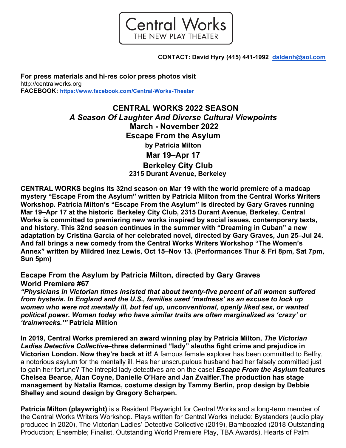

**CONTACT: David Hyry (415) 441-1992 daldenh@aol.com** 

**For press materials and hi-res color press photos visit** http://centralworks.org **FACEBOOK: https://www.facebook.com/Central-Works-Theater**

> **CENTRAL WORKS 2022 SEASON** *A Season Of Laughter And Diverse Cultural Viewpoints* **March - November 2022 Escape From the Asylum by Patricia Milton Mar 19–Apr 17 Berkeley City Club 2315 Durant Avenue, Berkeley**

**CENTRAL WORKS begins its 32nd season on Mar 19 with the world premiere of a madcap mystery "Escape From the Asylum" written by Patricia Milton from the Central Works Writers Workshop. Patricia Milton's "Escape From the Asylum" is directed by Gary Graves running Mar 19–Apr 17 at the historic Berkeley City Club, 2315 Durant Avenue, Berkeley. Central Works is committed to premiering new works inspired by social issues, contemporary texts, and history. This 32nd season continues in the summer with "Dreaming in Cuban" a new adaptation by Cristina García of her celebrated novel, directed by Gary Graves, Jun 25–Jul 24. And fall brings a new comedy from the Central Works Writers Workshop "The Women's Annex" written by Mildred Inez Lewis, Oct 15–Nov 13. (Performances Thur & Fri 8pm, Sat 7pm, Sun 5pm)**

**Escape From the Asylum by Patricia Milton, directed by Gary Graves World Premiere #67** 

*"Physicians in Victorian times insisted that about twenty-five percent of all women suffered from hysteria. In England and the U.S., families used 'madness' as an excuse to lock up women who were not mentally ill, but fed up, unconventional, openly liked sex, or wanted political power. Women today who have similar traits are often marginalized as 'crazy' or 'trainwrecks.'"* **Patricia Miltion**

**In 2019, Central Works premiered an award winning play by Patricia Milton,** *The Victorian Ladies Detective Collective***–three determined "lady" sleuths fight crime and prejudice in Victorian London. Now they're back at it!** A famous female explorer has been committed to Belfry, a notorious asylum for the mentally ill. Has her unscrupulous husband had her falsely committed just to gain her fortune? The intrepid lady detectives are on the case! *Escape From the Asylum* **features Chelsea Bearce, Alan Coyne, Danielle O'Hare and Jan Zvaifler.The production has stage management by Natalia Ramos, costume design by Tammy Berlin, prop design by Debbie Shelley and sound design by Gregory Scharpen.**

**Patricia Milton (playwright)** is a Resident Playwright for Central Works and a long-term member of the Central Works Writers Workshop. Plays written for Central Works include: Bystanders (audio play produced in 2020), The Victorian Ladies' Detective Collective (2019), Bamboozled (2018 Outstanding Production; Ensemble; Finalist, Outstanding World Premiere Play, TBA Awards), Hearts of Palm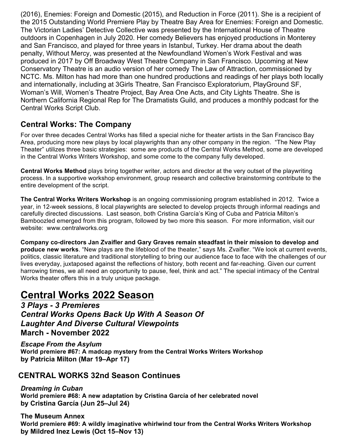(2016), Enemies: Foreign and Domestic (2015), and Reduction in Force (2011). She is a recipient of the 2015 Outstanding World Premiere Play by Theatre Bay Area for Enemies: Foreign and Domestic. The Victorian Ladies' Detective Collective was presented by the International House of Theatre outdoors in Copenhagen in July 2020. Her comedy Believers has enjoyed productions in Monterey and San Francisco, and played for three years in Istanbul, Turkey. Her drama about the death penalty, Without Mercy, was presented at the Newfoundland Women's Work Festival and was produced in 2017 by Off Broadway West Theatre Company in San Francisco. Upcoming at New Conservatory Theatre is an audio version of her comedy The Law of Attraction, commissioned by NCTC. Ms. Milton has had more than one hundred productions and readings of her plays both locally and internationally, including at 3Girls Theatre, San Francisco Exploratorium, PlayGround SF, Woman's Will, Women's Theatre Project, Bay Area One Acts, and City Lights Theatre. She is Northern California Regional Rep for The Dramatists Guild, and produces a monthly podcast for the Central Works Script Club.

## **Central Works: The Company**

For over three decades Central Works has filled a special niche for theater artists in the San Francisco Bay Area, producing more new plays by local playwrights than any other company in the region. "The New Play Theater" utilizes three basic strategies: some are products of the Central Works Method, some are developed in the Central Works Writers Workshop, and some come to the company fully developed.

**Central Works Method** plays bring together writer, actors and director at the very outset of the playwriting process. In a supportive workshop environment, group research and collective brainstorming contribute to the entire development of the script.

**The Central Works Writers Workshop** is an ongoing commissioning program established in 2012. Twice a year, in 12-week sessions, 8 local playwrights are selected to develop projects through informal readings and carefully directed discussions. Last season, both Cristina García's King of Cuba and Patricia Milton's Bamboozled emerged from this program, followed by two more this season. For more information, visit our website: www.centralworks.org

**Company co-directors Jan Zvaifler and Gary Graves remain steadfast in their mission to develop and produce new works**. "New plays are the lifeblood of the theater," says Ms. Zvaifler. "We look at current events, politics, classic literature and traditional storytelling to bring our audience face to face with the challenges of our lives everyday, juxtaposed against the reflections of history, both recent and far-reaching. Given our current harrowing times, we all need an opportunity to pause, feel, think and act." The special intimacy of the Central Works theater offers this in a truly unique package.

## **Central Works 2022 Season**

*3 Plays - 3 Premieres Central Works Opens Back Up With A Season Of Laughter And Diverse Cultural Viewpoints* **March - November 2022** 

*Escape From the Asylum*  **World premiere #67: A madcap mystery from the Central Works Writers Workshop by Patricia Milton (Mar 19–Apr 17)**

## **CENTRAL WORKS 32nd Season Continues**

*Dreaming in Cuban*  **World premiere #68: A new adaptation by Cristina García of her celebrated novel by Cristina García (Jun 25–Jul 24)**

**The Museum Annex World premiere #69: A wildly imaginative whirlwind tour from the Central Works Writers Workshop by Mildred Inez Lewis (Oct 15–Nov 13)**